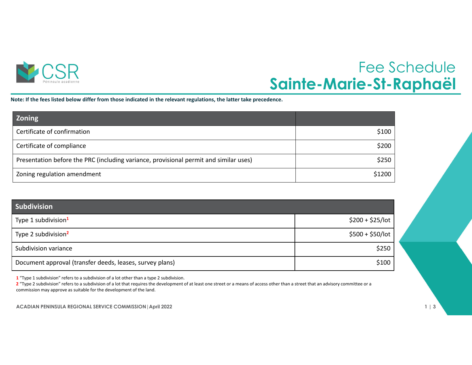

## Fee Schedule **Sainte-Marie-St-Raphaël**

Note: If the fees listed below differ from those indicated in the relevant regulations, the latter take precedence.

| <b>Zoning</b>                                                                         |        |
|---------------------------------------------------------------------------------------|--------|
| Certificate of confirmation                                                           | \$100  |
| Certificate of compliance                                                             | \$200  |
| Presentation before the PRC (including variance, provisional permit and similar uses) | \$250  |
| Zoning regulation amendment                                                           | \$1200 |

| <b>Subdivision</b>                                       |                   |
|----------------------------------------------------------|-------------------|
| Type 1 subdivision <sup>1</sup>                          | $$200 + $25/lot$  |
| Type 2 subdivision <sup>2</sup>                          | $$500 + $50/$ lot |
| Subdivision variance                                     | \$250             |
| Document approval (transfer deeds, leases, survey plans) | \$100             |

**1** "Type 1 subdivision" refers to <sup>a</sup> subdivision of <sup>a</sup> lot other than <sup>a</sup> type 2 subdivision.

**2** "Type 2 subdivision" refers to <sup>a</sup> subdivision of <sup>a</sup> lot that requires the development of at least one street or <sup>a</sup> means of access other than <sup>a</sup> street that an advisory committee or <sup>a</sup> commission may approve as suitable for the development of the land.

**ACADIAN PENINSULA REGIONAL SERVICE COMMISSION|April 2022 1 | 3**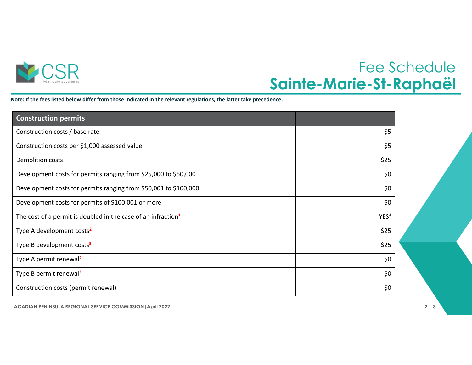

## Fee Schedule **Sainte-Marie-St-Raphaël**

Note: If the fees listed below differ from those indicated in the relevant regulations, the latter take precedence.

| <b>Construction permits</b>                                               |                  |
|---------------------------------------------------------------------------|------------------|
| Construction costs / base rate                                            | \$5              |
| Construction costs per \$1,000 assessed value                             | \$5              |
| <b>Demolition costs</b>                                                   | \$25             |
| Development costs for permits ranging from \$25,000 to \$50,000           | \$0              |
| Development costs for permits ranging from \$50,001 to \$100,000          | \$0              |
| Development costs for permits of \$100,001 or more                        | \$0              |
| The cost of a permit is doubled in the case of an infraction <sup>1</sup> | YES <sup>4</sup> |
| Type A development costs <sup>2</sup>                                     | \$25             |
| Type B development costs <sup>3</sup>                                     | \$25             |
| Type A permit renewal <sup>2</sup>                                        | \$0              |
| Type B permit renewal <sup>3</sup>                                        | \$0              |
| Construction costs (permit renewal)                                       | \$0              |

**ACADIAN PENINSULA REGIONAL SERVICE COMMISSION|April 2022 2 | 3**